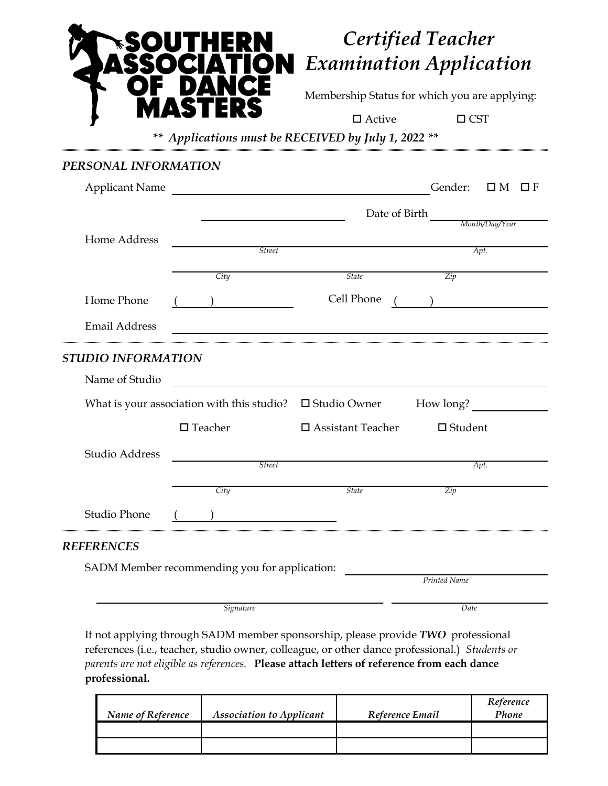

## *Certified Teacher Examination Application*

Membership Status for which you are applying:

 $\Box$  CST

*\*\* Applications must be RECEIVED by July 1, 2022 \*\**

## *PERSONAL INFORMATION*

| <b>Applicant Name</b>                         |                                                                                                                                                                                                                                      |                             | Gender:<br>$\square$ M<br>$\Box$ F |  |  |  |  |
|-----------------------------------------------|--------------------------------------------------------------------------------------------------------------------------------------------------------------------------------------------------------------------------------------|-----------------------------|------------------------------------|--|--|--|--|
|                                               | Date of Birth<br>Month/Day/Year                                                                                                                                                                                                      |                             |                                    |  |  |  |  |
| Home Address                                  |                                                                                                                                                                                                                                      |                             |                                    |  |  |  |  |
|                                               | <b>Street</b>                                                                                                                                                                                                                        |                             | Apt.                               |  |  |  |  |
|                                               | City                                                                                                                                                                                                                                 | <b>State</b>                | Zip                                |  |  |  |  |
| Home Phone                                    |                                                                                                                                                                                                                                      | Cell Phone                  |                                    |  |  |  |  |
| <b>Email Address</b>                          |                                                                                                                                                                                                                                      |                             |                                    |  |  |  |  |
| STUDIO INFORMATION                            |                                                                                                                                                                                                                                      |                             |                                    |  |  |  |  |
| Name of Studio                                | <u>and the company of the company of the company of the company of the company of the company of the company of the company of the company of the company of the company of the company of the company of the company of the com</u> |                             |                                    |  |  |  |  |
|                                               | What is your association with this studio? $\Box$ Studio Owner                                                                                                                                                                       |                             | How long?                          |  |  |  |  |
|                                               | $\square$ Teacher                                                                                                                                                                                                                    | $\square$ Assistant Teacher | $\Box$ Student                     |  |  |  |  |
| Studio Address                                |                                                                                                                                                                                                                                      |                             |                                    |  |  |  |  |
|                                               | <b>Street</b>                                                                                                                                                                                                                        |                             | Apt.                               |  |  |  |  |
|                                               | City                                                                                                                                                                                                                                 | <b>State</b>                | Zip                                |  |  |  |  |
| <b>Studio Phone</b>                           |                                                                                                                                                                                                                                      |                             |                                    |  |  |  |  |
| <b>REFERENCES</b>                             |                                                                                                                                                                                                                                      |                             |                                    |  |  |  |  |
| SADM Member recommending you for application: |                                                                                                                                                                                                                                      |                             |                                    |  |  |  |  |
|                                               |                                                                                                                                                                                                                                      |                             | Printed Name                       |  |  |  |  |

*Signature Date*

If not applying through SADM member sponsorship, please provide *TWO* professional references (i.e., teacher, studio owner, colleague, or other dance professional.) *Students or parents are not eligible as references.* **Please attach letters of reference from each dance professional.**

| Name of Reference | <b>Association to Applicant</b> | Reference Email | Reference<br>Phone |
|-------------------|---------------------------------|-----------------|--------------------|
|                   |                                 |                 |                    |
|                   |                                 |                 |                    |